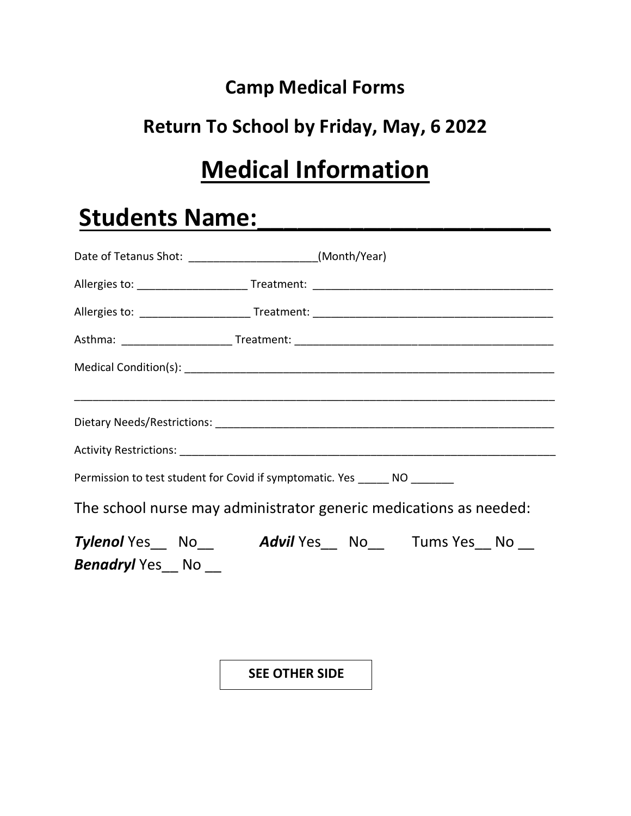## **Camp Medical Forms**

## **Return To School by Friday, May, 6 2022**

# **Medical Information**

## **Students Name:\_\_\_\_\_\_\_\_\_\_\_\_\_\_\_\_\_\_\_\_\_\_**

| Date of Tetanus Shot: __________________________(Month/Year)               |  |  |  |  |
|----------------------------------------------------------------------------|--|--|--|--|
|                                                                            |  |  |  |  |
|                                                                            |  |  |  |  |
|                                                                            |  |  |  |  |
|                                                                            |  |  |  |  |
|                                                                            |  |  |  |  |
|                                                                            |  |  |  |  |
|                                                                            |  |  |  |  |
| Permission to test student for Covid if symptomatic. Yes ______ NO _______ |  |  |  |  |
| The school nurse may administrator generic medications as needed:          |  |  |  |  |
| Tylenol Yes No Advil Yes No Tums Yes No                                    |  |  |  |  |
| <b>Benadryl</b> Yes No __                                                  |  |  |  |  |
|                                                                            |  |  |  |  |
|                                                                            |  |  |  |  |
|                                                                            |  |  |  |  |

**SEE OTHER SIDE**